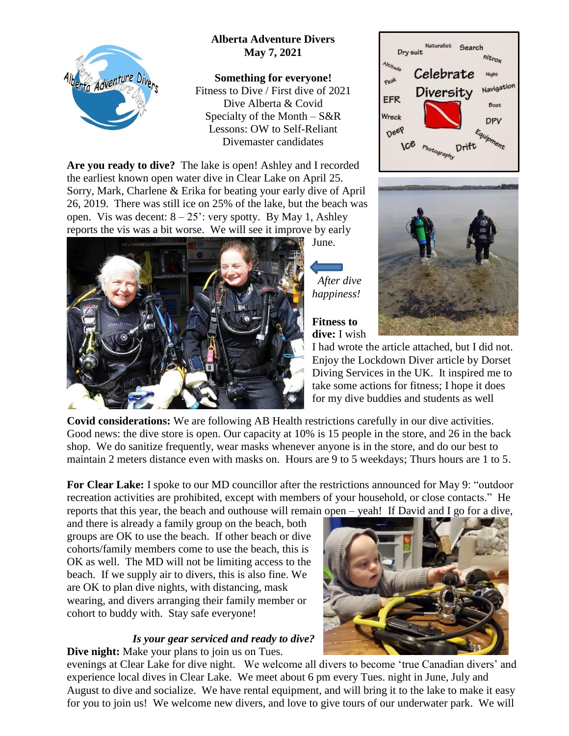## **Alberta Adventure Divers May 7, 2021**



**Something for everyone!** Fitness to Dive / First dive of 2021 Dive Alberta & Covid Specialty of the Month  $-S\&R$ Lessons: OW to Self-Reliant Divemaster candidates

**Are you ready to dive?** The lake is open! Ashley and I recorded the earliest known open water dive in Clear Lake on April 25. Sorry, Mark, Charlene & Erika for beating your early dive of April 26, 2019. There was still ice on 25% of the lake, but the beach was open. Vis was decent:  $8 - 25$ ': very spotty. By May 1, Ashley reports the vis was a bit worse. We will see it improve by early



June.

 *After dive happiness!*

**Fitness to dive:** I wish





I had wrote the article attached, but I did not. Enjoy the Lockdown Diver article by Dorset Diving Services in the UK. It inspired me to take some actions for fitness; I hope it does for my dive buddies and students as well

**Covid considerations:** We are following AB Health restrictions carefully in our dive activities. Good news: the dive store is open. Our capacity at 10% is 15 people in the store, and 26 in the back shop. We do sanitize frequently, wear masks whenever anyone is in the store, and do our best to maintain 2 meters distance even with masks on. Hours are 9 to 5 weekdays; Thurs hours are 1 to 5.

**For Clear Lake:** I spoke to our MD councillor after the restrictions announced for May 9: "outdoor recreation activities are prohibited, except with members of your household, or close contacts." He reports that this year, the beach and outhouse will remain open – yeah! If David and I go for a dive,

and there is already a family group on the beach, both groups are OK to use the beach. If other beach or dive cohorts/family members come to use the beach, this is OK as well. The MD will not be limiting access to the beach. If we supply air to divers, this is also fine. We are OK to plan dive nights, with distancing, mask wearing, and divers arranging their family member or cohort to buddy with. Stay safe everyone!

## *Is your gear serviced and ready to dive?* **Dive night:** Make your plans to join us on Tues.



evenings at Clear Lake for dive night. We welcome all divers to become 'true Canadian divers' and experience local dives in Clear Lake. We meet about 6 pm every Tues. night in June, July and August to dive and socialize. We have rental equipment, and will bring it to the lake to make it easy for you to join us! We welcome new divers, and love to give tours of our underwater park. We will